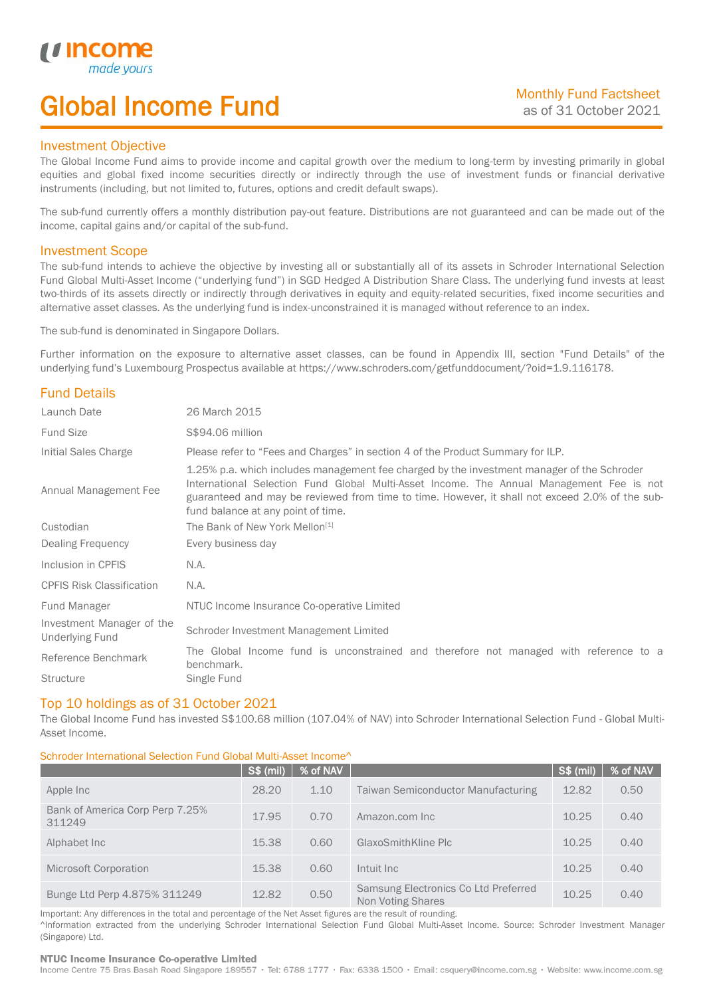# Global Income Fund

### Investment Objective

u incor

I

The Global Income Fund aims to provide income and capital growth over the medium to long-term by investing primarily in global equities and global fixed income securities directly or indirectly through the use of investment funds or financial derivative instruments (including, but not limited to, futures, options and credit default swaps).

The sub-fund currently offers a monthly distribution pay-out feature. Distributions are not guaranteed and can be made out of the income, capital gains and/or capital of the sub-fund.

### Investment Scope

The sub-fund intends to achieve the objective by investing all or substantially all of its assets in Schroder International Selection Fund Global Multi-Asset Income ("underlying fund") in SGD Hedged A Distribution Share Class. The underlying fund invests at least two-thirds of its assets directly or indirectly through derivatives in equity and equity-related securities, fixed income securities and alternative asset classes. As the underlying fund is index-unconstrained it is managed without reference to an index.

The sub-fund is denominated in Singapore Dollars.

Further information on the exposure to alternative asset classes, can be found in Appendix III, section "Fund Details" of the underlying fund's Luxembourg Prospectus available at https://www.schroders.com/getfunddocument/?oid=1.9.116178.

## Fund Details

| Launch Date                                         | 26 March 2015                                                                                                                                                                                                                                                                                                                   |  |  |  |
|-----------------------------------------------------|---------------------------------------------------------------------------------------------------------------------------------------------------------------------------------------------------------------------------------------------------------------------------------------------------------------------------------|--|--|--|
| <b>Fund Size</b>                                    | S\$94.06 million                                                                                                                                                                                                                                                                                                                |  |  |  |
| Initial Sales Charge                                | Please refer to "Fees and Charges" in section 4 of the Product Summary for ILP.                                                                                                                                                                                                                                                 |  |  |  |
| Annual Management Fee                               | 1.25% p.a. which includes management fee charged by the investment manager of the Schroder<br>International Selection Fund Global Multi-Asset Income. The Annual Management Fee is not<br>guaranteed and may be reviewed from time to time. However, it shall not exceed 2.0% of the sub-<br>fund balance at any point of time. |  |  |  |
| Custodian                                           | The Bank of New York Mellon <sup>[1]</sup>                                                                                                                                                                                                                                                                                      |  |  |  |
| Dealing Frequency                                   | Every business day                                                                                                                                                                                                                                                                                                              |  |  |  |
| Inclusion in CPFIS                                  | N.A.                                                                                                                                                                                                                                                                                                                            |  |  |  |
| <b>CPFIS Risk Classification</b>                    | N.A.                                                                                                                                                                                                                                                                                                                            |  |  |  |
| Fund Manager                                        | NTUC Income Insurance Co-operative Limited                                                                                                                                                                                                                                                                                      |  |  |  |
| Investment Manager of the<br><b>Underlying Fund</b> | Schroder Investment Management Limited                                                                                                                                                                                                                                                                                          |  |  |  |
| Reference Benchmark                                 | The Global Income fund is unconstrained and therefore not managed with reference to a<br>benchmark.                                                                                                                                                                                                                             |  |  |  |
| <b>Structure</b>                                    | Single Fund                                                                                                                                                                                                                                                                                                                     |  |  |  |

### Top 10 holdings as of 31 October 2021

The Global Income Fund has invested S\$100.68 million (107.04% of NAV) into Schroder International Selection Fund - Global Multi-Asset Income.

### Schroder International Selection Fund Global Multi-Asset Income^

|                                           | <b>S\$ (mil)</b> | % of NAV |                                                           | <b>S\$ (mil)</b> | % of NAV |
|-------------------------------------------|------------------|----------|-----------------------------------------------------------|------------------|----------|
| Apple Inc                                 | 28.20            | 1.10     | <b>Taiwan Semiconductor Manufacturing</b>                 | 12.82            | 0.50     |
| Bank of America Corp Perp 7.25%<br>311249 | 17.95            | 0.70     | Amazon.com Inc                                            | 10.25            | 0.40     |
| Alphabet Inc.                             | 15.38            | 0.60     | GlaxoSmithKline Plc                                       | 10.25            | 0.40     |
| <b>Microsoft Corporation</b>              | 15.38            | 0.60     | Intuit Inc.                                               | 10.25            | 0.40     |
| Bunge Ltd Perp 4.875% 311249              | 12.82            | 0.50     | Samsung Electronics Co Ltd Preferred<br>Non Voting Shares | 10.25            | 0.40     |

Important: Any differences in the total and percentage of the Net Asset figures are the result of rounding. ^Information extracted from the underlying Schroder International Selection Fund Global Multi-Asset Income. Source: Schroder Investment Manager (Singapore) Ltd.

#### NTUC Income Insurance Co-operative Limited

Income Centre 75 Bras Basah Road Singapore 189557 · Tel: 6788 1777 · Fax: 6338 1500 · Email: csquery@income.com.sg · Website: www.income.com.sg